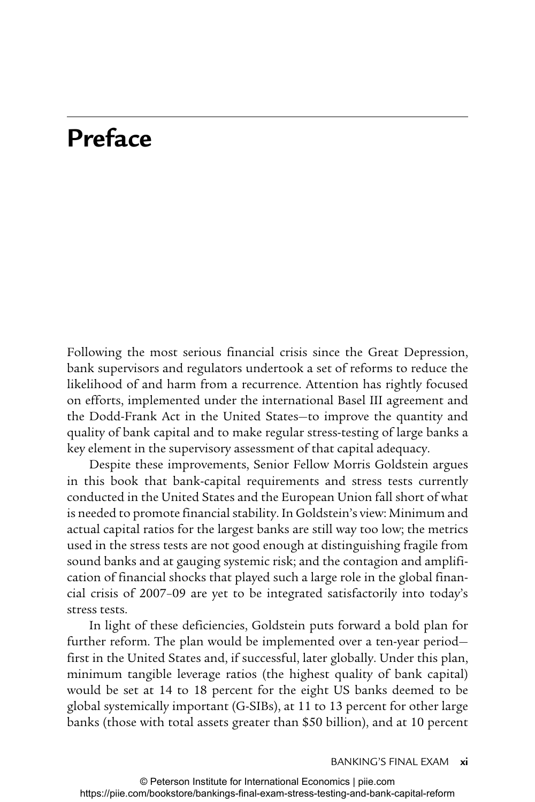## **Preface**

Following the most serious financial crisis since the Great Depression, bank supervisors and regulators undertook a set of reforms to reduce the likelihood of and harm from a recurrence. Attention has rightly focused on efforts, implemented under the international Basel III agreement and the Dodd-Frank Act in the United States—to improve the quantity and quality of bank capital and to make regular stress-testing of large banks a key element in the supervisory assessment of that capital adequacy.

Despite these improvements, Senior Fellow Morris Goldstein argues in this book that bank-capital requirements and stress tests currently conducted in the United States and the European Union fall short of what is needed to promote financial stability. In Goldstein's view: Minimum and actual capital ratios for the largest banks are still way too low; the metrics used in the stress tests are not good enough at distinguishing fragile from sound banks and at gauging systemic risk; and the contagion and amplification of financial shocks that played such a large role in the global financial crisis of 2007–09 are yet to be integrated satisfactorily into today's stress tests.

In light of these deficiencies, Goldstein puts forward a bold plan for further reform. The plan would be implemented over a ten-year period first in the United States and, if successful, later globally. Under this plan, minimum tangible leverage ratios (the highest quality of bank capital) would be set at 14 to 18 percent for the eight US banks deemed to be global systemically important (G-SIBs), at 11 to 13 percent for other large banks (those with total assets greater than \$50 billion), and at 10 percent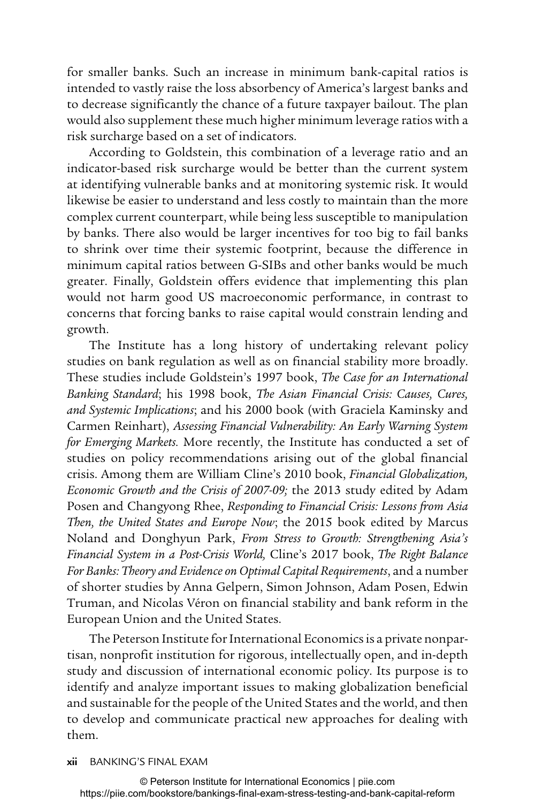for smaller banks. Such an increase in minimum bank-capital ratios is intended to vastly raise the loss absorbency of America's largest banks and to decrease significantly the chance of a future taxpayer bailout. The plan would also supplement these much higher minimum leverage ratios with a risk surcharge based on a set of indicators.

According to Goldstein, this combination of a leverage ratio and an indicator-based risk surcharge would be better than the current system at identifying vulnerable banks and at monitoring systemic risk. It would likewise be easier to understand and less costly to maintain than the more complex current counterpart, while being less susceptible to manipulation by banks. There also would be larger incentives for too big to fail banks to shrink over time their systemic footprint, because the difference in minimum capital ratios between G-SIBs and other banks would be much greater. Finally, Goldstein offers evidence that implementing this plan would not harm good US macroeconomic performance, in contrast to concerns that forcing banks to raise capital would constrain lending and growth.

The Institute has a long history of undertaking relevant policy studies on bank regulation as well as on financial stability more broadly. These studies include Goldstein's 1997 book, *The Case for an International Banking Standard*; his 1998 book, *The Asian Financial Crisis: Causes, Cures, and Systemic Implications*; and his 2000 book (with Graciela Kaminsky and Carmen Reinhart), *Assessing Financial Vulnerability: An Early Warning System for Emerging Markets.* More recently, the Institute has conducted a set of studies on policy recommendations arising out of the global financial crisis. Among them are William Cline's 2010 book, *Financial Globalization, Economic Growth and the Crisis of 2007-09;* the 2013 study edited by Adam Posen and Changyong Rhee, *Responding to Financial Crisis: Lessons from Asia Then, the United States and Europe Now*; the 2015 book edited by Marcus Noland and Donghyun Park, *From Stress to Growth: Strengthening Asia's Financial System in a Post-Crisis World,* Cline's 2017 book, *The Right Balance For Banks: Theory and Evidence on Optimal Capital Requirements*, and a number of shorter studies by Anna Gelpern, Simon Johnson, Adam Posen, Edwin Truman, and Nicolas Véron on financial stability and bank reform in the European Union and the United States.

The Peterson Institute for International Economics is a private nonpartisan, nonprofit institution for rigorous, intellectually open, and in-depth study and discussion of international economic policy. Its purpose is to identify and analyze important issues to making globalization beneficial and sustainable for the people of the United States and the world, and then to develop and communicate practical new approaches for dealing with them.

## **xii** BANKING'S FINAL EXAM